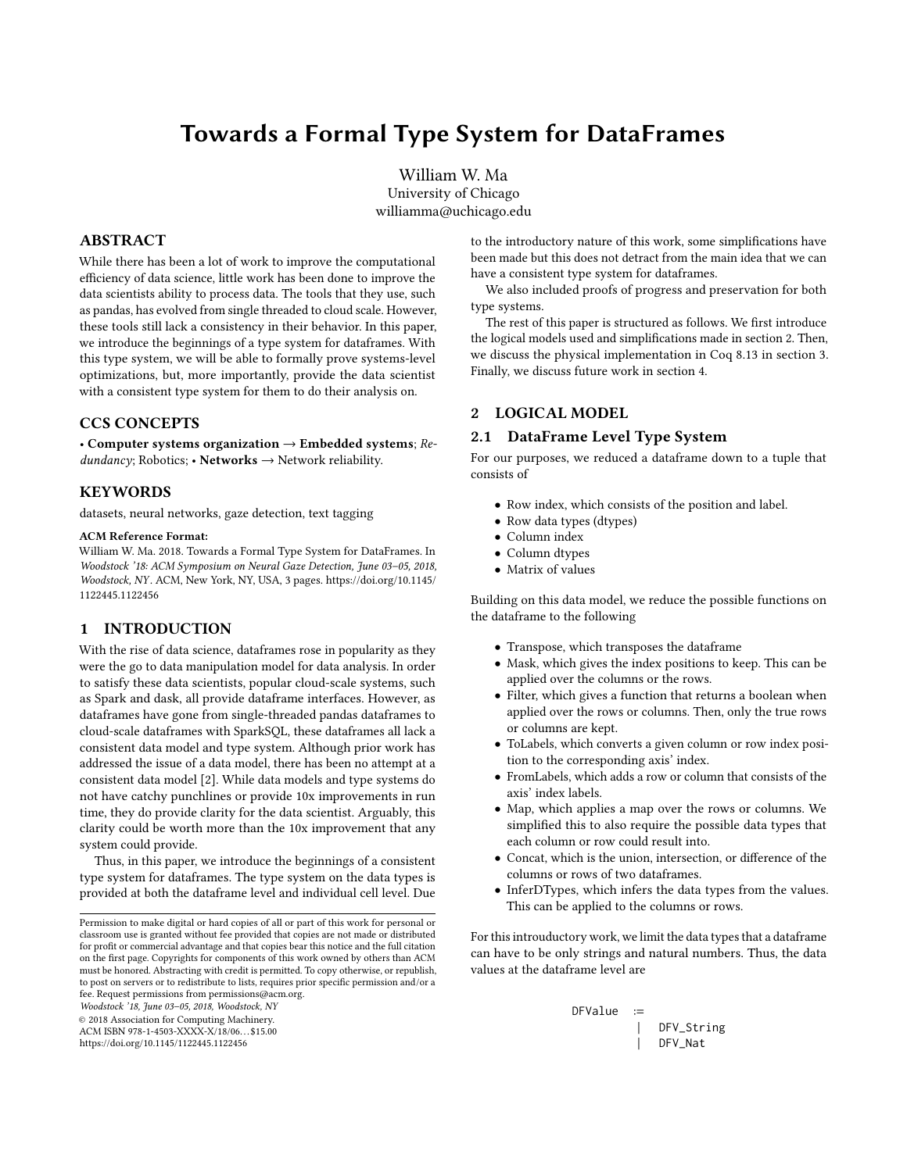# Towards a Formal Type System for DataFrames

William W. Ma University of Chicago williamma@uchicago.edu

# ABSTRACT

While there has been a lot of work to improve the computational efficiency of data science, little work has been done to improve the data scientists ability to process data. The tools that they use, such as pandas, has evolved from single threaded to cloud scale. However, these tools still lack a consistency in their behavior. In this paper, we introduce the beginnings of a type system for dataframes. With this type system, we will be able to formally prove systems-level optimizations, but, more importantly, provide the data scientist with a consistent type system for them to do their analysis on.

# CCS CONCEPTS

• Computer systems organization  $\rightarrow$  Embedded systems; Re $dundancy$ ; Robotics; • Networks  $\rightarrow$  Network reliability.

## **KEYWORDS**

datasets, neural networks, gaze detection, text tagging

#### ACM Reference Format:

William W. Ma. 2018. Towards a Formal Type System for DataFrames. In Woodstock '18: ACM Symposium on Neural Gaze Detection, June 03–05, 2018, Woodstock, NY . ACM, New York, NY, USA, [3](#page-2-0) pages. [https://doi.org/10.1145/](https://doi.org/10.1145/1122445.1122456) [1122445.1122456](https://doi.org/10.1145/1122445.1122456)

## 1 INTRODUCTION

With the rise of data science, dataframes rose in popularity as they were the go to data manipulation model for data analysis. In order to satisfy these data scientists, popular cloud-scale systems, such as Spark and dask, all provide dataframe interfaces. However, as dataframes have gone from single-threaded pandas dataframes to cloud-scale dataframes with SparkSQL, these dataframes all lack a consistent data model and type system. Although prior work has addressed the issue of a data model, there has been no attempt at a consistent data model [\[2\]](#page-2-1). While data models and type systems do not have catchy punchlines or provide 10x improvements in run time, they do provide clarity for the data scientist. Arguably, this clarity could be worth more than the 10x improvement that any system could provide.

Thus, in this paper, we introduce the beginnings of a consistent type system for dataframes. The type system on the data types is provided at both the dataframe level and individual cell level. Due

Permission to make digital or hard copies of all or part of this work for personal or classroom use is granted without fee provided that copies are not made or distributed for profit or commercial advantage and that copies bear this notice and the full citation on the first page. Copyrights for components of this work owned by others than ACM must be honored. Abstracting with credit is permitted. To copy otherwise, or republish, to post on servers or to redistribute to lists, requires prior specific permission and/or a fee. Request permissions from permissions@acm.org.

Woodstock '18, June 03–05, 2018, Woodstock, NY

© 2018 Association for Computing Machinery.

ACM ISBN 978-1-4503-XXXX-X/18/06. . . \$15.00

<https://doi.org/10.1145/1122445.1122456>

to the introductory nature of this work, some simplifications have been made but this does not detract from the main idea that we can have a consistent type system for dataframes.

We also included proofs of progress and preservation for both type systems.

The rest of this paper is structured as follows. We first introduce the logical models used and simplifications made in section [2.](#page-0-0) Then, we discuss the physical implementation in Coq 8.13 in section [3.](#page-2-2) Finally, we discuss future work in section [4.](#page-2-3)

# <span id="page-0-0"></span>2 LOGICAL MODEL

## 2.1 DataFrame Level Type System

For our purposes, we reduced a dataframe down to a tuple that consists of

- Row index, which consists of the position and label.
- Row data types (dtypes)
- Column index
- Column dtypes
- Matrix of values

Building on this data model, we reduce the possible functions on the dataframe to the following

- Transpose, which transposes the dataframe
- Mask, which gives the index positions to keep. This can be applied over the columns or the rows.
- Filter, which gives a function that returns a boolean when applied over the rows or columns. Then, only the true rows or columns are kept.
- ToLabels, which converts a given column or row index position to the corresponding axis' index.
- FromLabels, which adds a row or column that consists of the axis' index labels.
- Map, which applies a map over the rows or columns. We simplified this to also require the possible data types that each column or row could result into.
- Concat, which is the union, intersection, or difference of the columns or rows of two dataframes.
- InferDTypes, which infers the data types from the values. This can be applied to the columns or rows.

For this introuductory work, we limit the data types that a dataframe can have to be only strings and natural numbers. Thus, the data values at the dataframe level are

DFValue := | DFV\_String | DFV\_Nat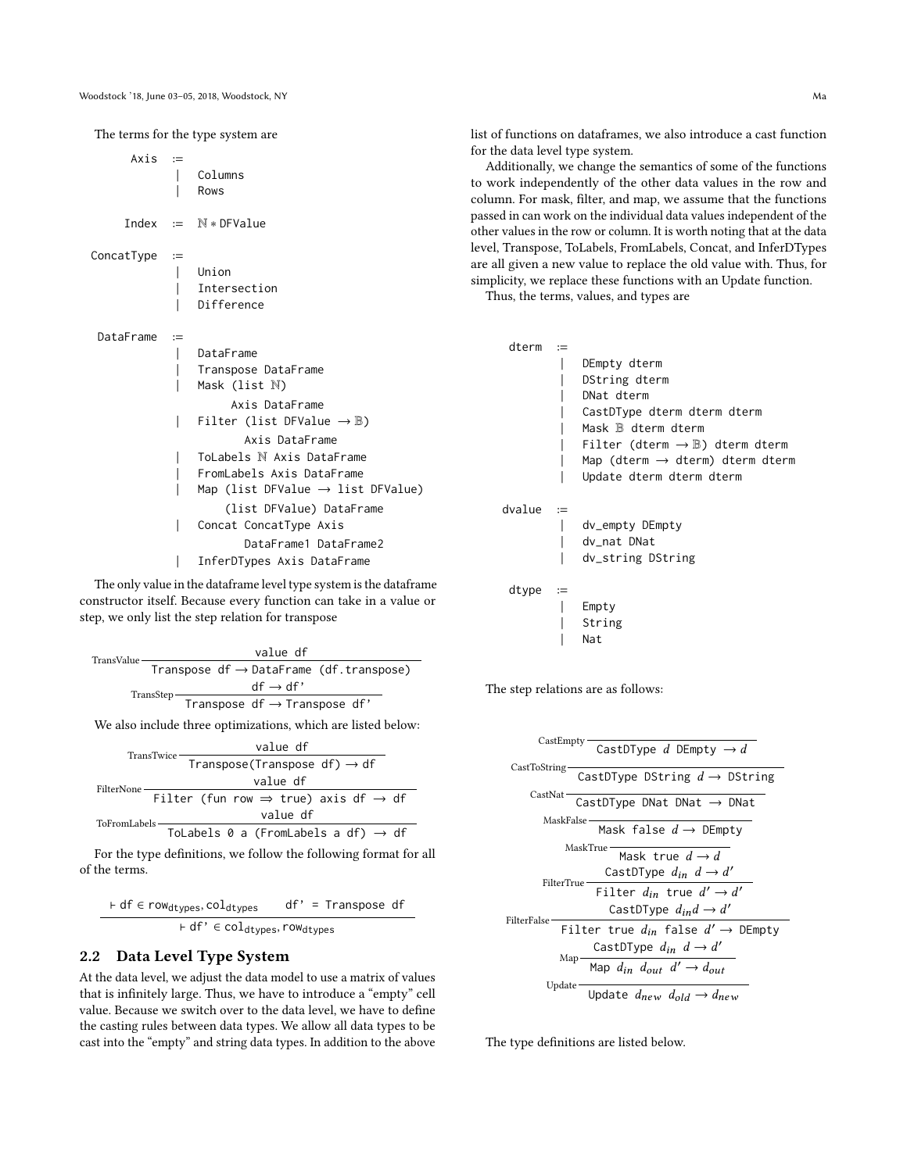The terms for the type system are  $Axis :=$ | Columns | Rows Index := N ∗ DFValue ConcatType := | Union **Intersection** Difference DataFrame := | DataFrame | Transpose DataFrame Mask (list N) Axis DataFrame Filter (list DFValue  $\rightarrow \mathbb{B}$ ) Axis DataFrame | ToLabels N Axis DataFrame | FromLabels Axis DataFrame | Map (list DFValue → list DFValue) (list DFValue) DataFrame Concat ConcatType Axis DataFrame1 DataFrame2 | InferDTypes Axis DataFrame

The only value in the dataframe level type system is the dataframe constructor itself. Because every function can take in a value or step, we only list the step relation for transpose

| TransValue |           |  | value df                                 |                                                     |
|------------|-----------|--|------------------------------------------|-----------------------------------------------------|
|            |           |  |                                          | Transpose $df \rightarrow DataFrame$ (df.transpose) |
|            | TransStep |  | $df \rightarrow df'$                     |                                                     |
|            |           |  | Transpose $df \rightarrow Transpose df'$ |                                                     |

We also include three optimizations, which are listed below:

$$
\begin{array}{r}\n\text{TransTwice} & \text{value df} \\
\hline\n\text{Transpose (Transpose df)} \rightarrow df \\
\text{Filter None} & \text{value df} \\
\hline\n\text{Filter (fun row} \Rightarrow \text{true}) \text{ axis df} \rightarrow df \\
\text{Value df} & \text{value df} \\
\hline\n\text{ToFromLabels} & \text{Total of } f \rightarrow df \\
\end{array}
$$

For the type definitions, we follow the following format for all of the terms.

$$
\vdash df \in row_{dtypes}, col_{dtypes} \quad df' = \text{Transpose } df
$$
\n
$$
\vdash df' \in col_{dtypes}, row_{dtypes}
$$

#### 2.2 Data Level Type System

At the data level, we adjust the data model to use a matrix of values that is infinitely large. Thus, we have to introduce a "empty" cell value. Because we switch over to the data level, we have to define the casting rules between data types. We allow all data types to be cast into the "empty" and string data types. In addition to the above

list of functions on dataframes, we also introduce a cast function for the data level type system.

Additionally, we change the semantics of some of the functions to work independently of the other data values in the row and column. For mask, filter, and map, we assume that the functions passed in can work on the individual data values independent of the other values in the row or column. It is worth noting that at the data level, Transpose, ToLabels, FromLabels, Concat, and InferDTypes are all given a new value to replace the old value with. Thus, for simplicity, we replace these functions with an Update function.

Thus, the terms, values, and types are

| dterm  | $:=$                  |                                                      |
|--------|-----------------------|------------------------------------------------------|
|        |                       | DEmpty dterm                                         |
|        |                       | DString dterm                                        |
|        |                       | DNat dterm                                           |
|        |                       | CastDType dterm dterm dterm                          |
|        |                       | Mask $\mathbb B$ dterm dterm                         |
|        |                       | Filter (dterm $\rightarrow \mathbb{B}$ ) dterm dterm |
|        |                       | Map (dterm $\rightarrow$ dterm) dterm dterm          |
|        |                       | Update dterm dterm dterm                             |
| dvalue | $:=$                  |                                                      |
|        |                       | dv_empty DEmpty                                      |
|        |                       | dy nat DNat                                          |
|        |                       | dv_string DString                                    |
| dtype  | $\mathrel{\mathop:}=$ |                                                      |
|        |                       | Empty                                                |
|        |                       | String                                               |
|        |                       | Nat                                                  |
|        |                       |                                                      |

The step relations are as follows:

| CastEmpty-<br>CastDType d DEmpty $\rightarrow$ d                                                                                             |
|----------------------------------------------------------------------------------------------------------------------------------------------|
| CastToString-<br>CastDType DString $d \rightarrow$ DString                                                                                   |
| CastNat-<br>CastDType DNat DNat $\rightarrow$ DNat                                                                                           |
| MaskFalse:<br>Mask false $d \rightarrow$ DEmpty                                                                                              |
| MaskTrue-<br>Mask true $d \rightarrow d$<br>CastDType $d_{in}$ $d \rightarrow d'$<br>FilterTrue-<br>Filter $d_{in}$ true $d' \rightarrow d'$ |
| CastDType $d_{ind} \rightarrow d'$<br>FilterFalse:                                                                                           |
| Filter true $d_{in}$ false $d' \rightarrow$ DEmpty                                                                                           |
| CastDType $d_{in}$ $d \rightarrow d'$                                                                                                        |
| Map -<br>Map $d_{in}$ $d_{out}$ $d' \rightarrow d_{out}$                                                                                     |
| Update $-$<br>Update $d_{new}$ $d_{old} \rightarrow d_{new}$                                                                                 |

The type definitions are listed below.